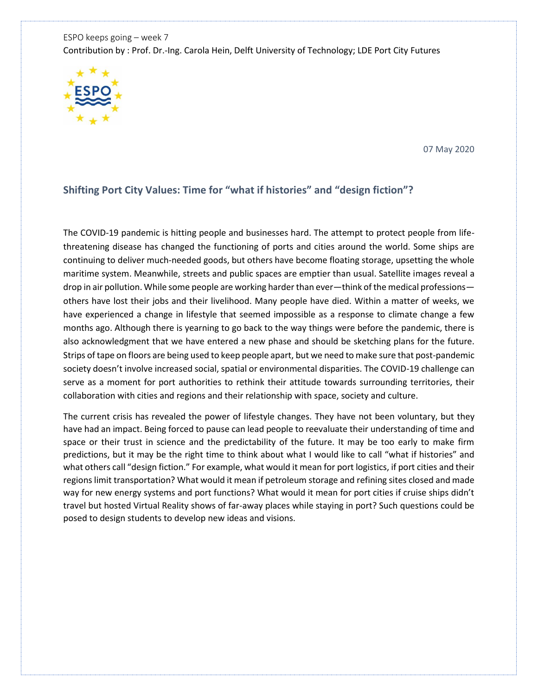ESPO keeps going – week 7 Contribution by : Prof. Dr.-Ing. Carola Hein, Delft University of Technology; LDE Port City Futures



07 May 2020

## **Shifting Port City Values: Time for "what if histories" and "design fiction"?**

The COVID-19 pandemic is hitting people and businesses hard. The attempt to protect people from lifethreatening disease has changed the functioning of ports and cities around the world. Some ships are continuing to deliver much-needed goods, but others have become floating storage, upsetting the whole maritime system. Meanwhile, streets and public spaces are emptier than usual. Satellite images reveal a drop in air pollution. While some people are working harder than ever—think of the medical professions others have lost their jobs and their livelihood. Many people have died. Within a matter of weeks, we have experienced a change in lifestyle that seemed impossible as a response to climate change a few months ago. Although there is yearning to go back to the way things were before the pandemic, there is also acknowledgment that we have entered a new phase and should be sketching plans for the future. Strips of tape on floors are being used to keep people apart, but we need to make sure that post-pandemic society doesn't involve increased social, spatial or environmental disparities. The COVID-19 challenge can serve as a moment for port authorities to rethink their attitude towards surrounding territories, their collaboration with cities and regions and their relationship with space, society and culture.

The current crisis has revealed the power of lifestyle changes. They have not been voluntary, but they have had an impact. Being forced to pause can lead people to reevaluate their understanding of time and space or their trust in science and the predictability of the future. It may be too early to make firm predictions, but it may be the right time to think about what I would like to call "what if histories" and what others call "design fiction." For example, what would it mean for port logistics, if port cities and their regions limit transportation? What would it mean if petroleum storage and refining sites closed and made way for new energy systems and port functions? What would it mean for port cities if cruise ships didn't travel but hosted Virtual Reality shows of far-away places while staying in port? Such questions could be posed to design students to develop new ideas and visions.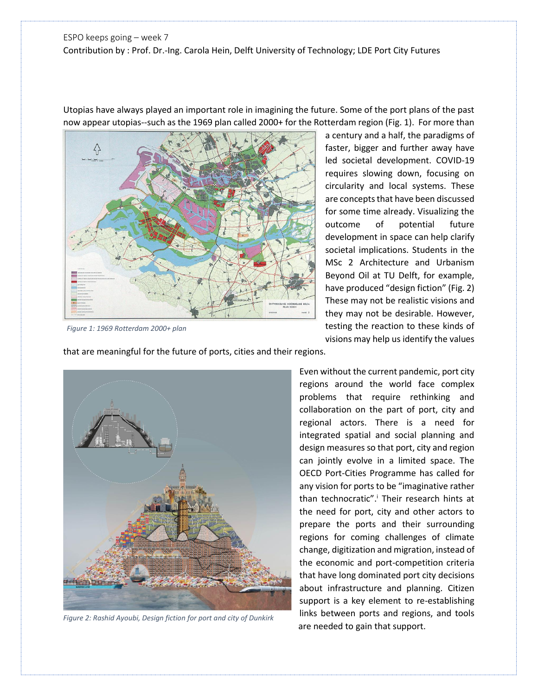## ESPO keeps going – week 7 Contribution by : Prof. Dr.-Ing. Carola Hein, Delft University of Technology; LDE Port City Futures

Utopias have always played an important role in imagining the future. Some of the port plans of the past now appear utopias--such as the 1969 plan called 2000+ for the Rotterdam region (Fig. 1). For more than

 $\bigwedge$ 

*Figure 1: 1969 Rotterdam 2000+ plan*

a century and a half, the paradigms of faster, bigger and further away have led societal development. COVID-19 requires slowing down, focusing on circularity and local systems. These are concepts that have been discussed for some time already. Visualizing the outcome of potential future development in space can help clarify societal implications. Students in the MSc 2 Architecture and Urbanism Beyond Oil at TU Delft, for example, have produced "design fiction" (Fig. 2) These may not be realistic visions and they may not be desirable. However, testing the reaction to these kinds of visions may help us identify the values

that are meaningful for the future of ports, cities and their regions.



*Figure 2: Rashid Ayoubi, Design fiction for port and city of Dunkirk*

Even without the current pandemic, port city regions around the world face complex problems that require rethinking and collaboration on the part of port, city and regional actors. There is a need for integrated spatial and social planning and design measures so that port, city and region can jointly evolve in a limited space. The OECD Port-Cities Programme has called for any vision for ports to be "imaginative rather than technocratic".<sup>i</sup> Their research hints at the need for port, city and other actors to prepare the ports and their surrounding regions for coming challenges of climate change, digitization and migration, instead of the economic and port-competition criteria that have long dominated port city decisions about infrastructure and planning. Citizen support is a key element to re-establishing links between ports and regions, and tools are needed to gain that support.